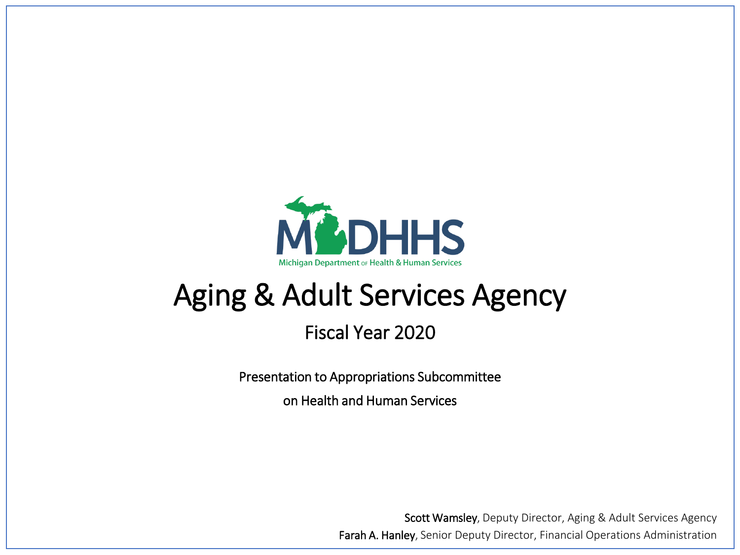

# Aging & Adult Services Agency

### Fiscal Year 2020

Presentation to Appropriations Subcommittee

on Health and Human Services

Scott Wamsley, Deputy Director, Aging & Adult Services Agency Farah A. Hanley, Senior Deputy Director, Financial Operations Administration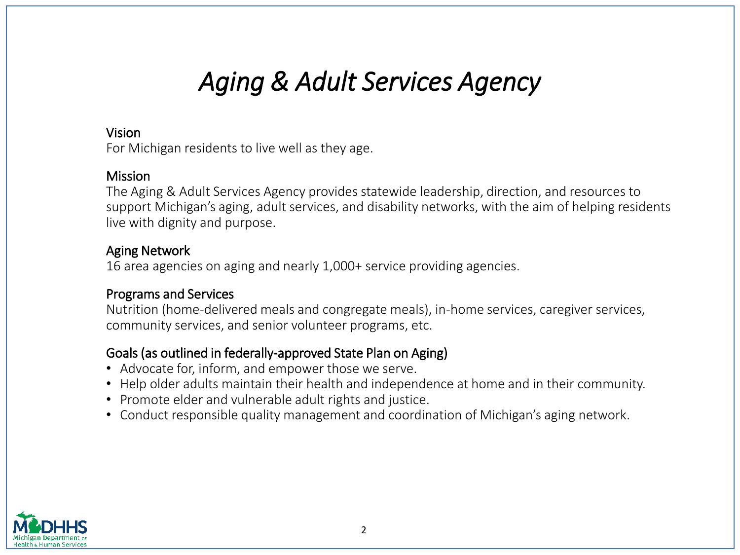## *Aging & Adult Services Agency*

#### Vision

For Michigan residents to live well as they age.

#### **Mission**

The Aging & Adult Services Agency provides statewide leadership, direction, and resources to support Michigan's aging, adult services, and disability networks, with the aim of helping residents live with dignity and purpose.

#### Aging Network

16 area agencies on aging and nearly 1,000+ service providing agencies.

#### Programs and Services

Nutrition (home-delivered meals and congregate meals), in-home services, caregiver services, community services, and senior volunteer programs, etc.

### Goals (as outlined in federally-approved State Plan on Aging)

- Advocate for, inform, and empower those we serve.
- Help older adults maintain their health and independence at home and in their community.
- Promote elder and vulnerable adult rights and justice.
- Conduct responsible quality management and coordination of Michigan's aging network.

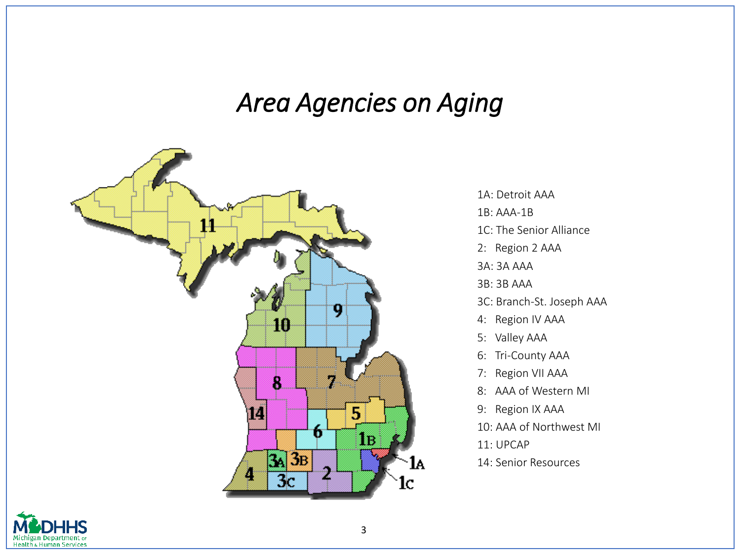## *Area Agencies on Aging*



1A: Detroit AAA 1B: AAA-1B 1C: The Senior Alliance 2: Region 2 AAA 3A: 3A AAA 3B: 3B AAA 3C: Branch-St. Joseph AAA 4: Region IV AAA 5: Valley AAA 6: Tri-County AAA 7: Region VII AAA 8: AAA of Western MI 9: Region IX AAA 10: AAA of Northwest MI 11: UPCAP

14: Senior Resources

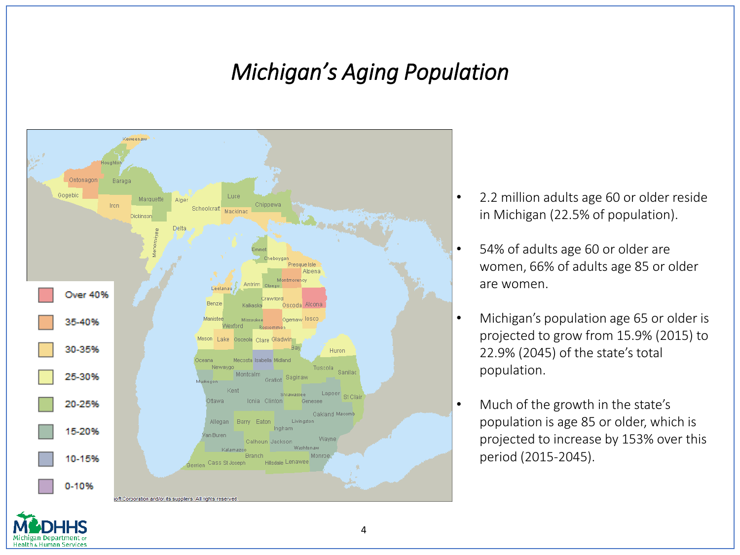## *Michigan's Aging Population*



zan Denartment o **Health & Human Services** 

- 2.2 million adults age 60 or older reside in Michigan (22.5% of population).
- 54% of adults age 60 or older are women, 66% of adults age 85 or older are women.
- Michigan's population age 65 or older is projected to grow from 15.9% (2015) to 22.9% (2045) of the state's total population.
- Much of the growth in the state's population is age 85 or older, which is projected to increase by 153% over this period (2015-2045).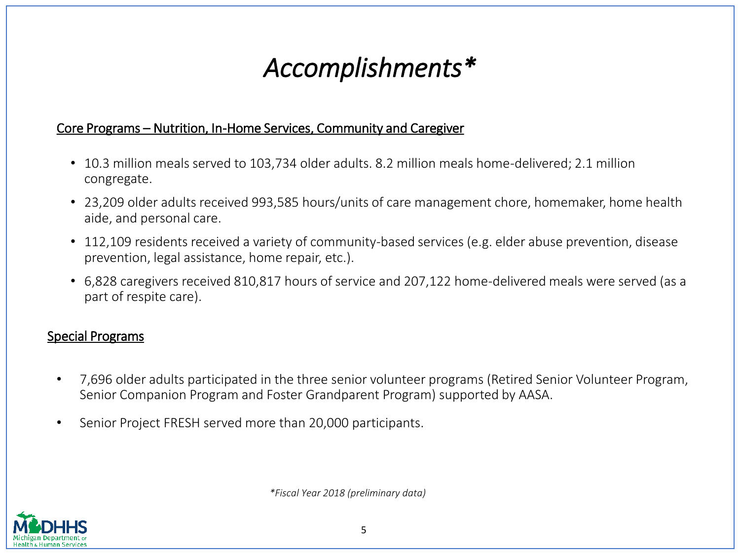# *Accomplishments\**

### Core Programs – Nutrition, In-Home Services, Community and Caregiver

- 10.3 million meals served to 103,734 older adults. 8.2 million meals home-delivered; 2.1 million congregate.
- 23,209 older adults received 993,585 hours/units of care management chore, homemaker, home health aide, and personal care.
- 112,109 residents received a variety of community-based services (e.g. elder abuse prevention, disease prevention, legal assistance, home repair, etc.).
- 6,828 caregivers received 810,817 hours of service and 207,122 home-delivered meals were served (as a part of respite care).

#### Special Programs

- 7,696 older adults participated in the three senior volunteer programs (Retired Senior Volunteer Program, Senior Companion Program and Foster Grandparent Program) supported by AASA.
- Senior Project FRESH served more than 20,000 participants.

*\*Fiscal Year 2018 (preliminary data)*

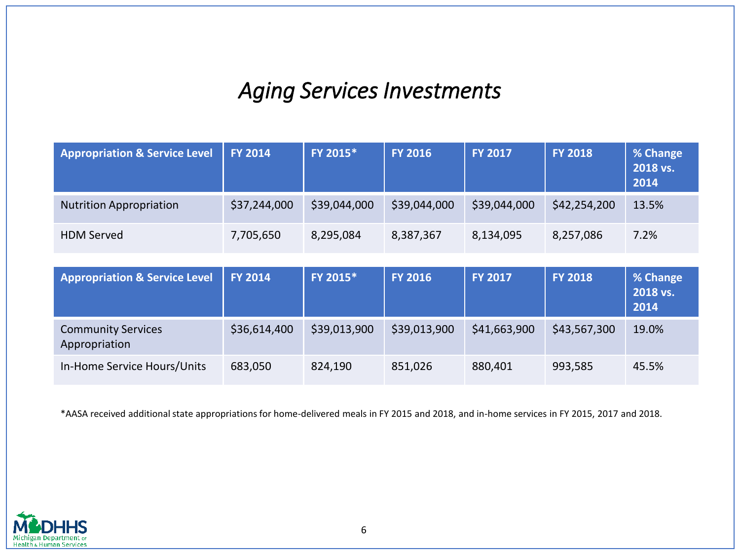### *Aging Services Investments*

| <b>Appropriation &amp; Service Level</b>   | <b>FY 2014</b> | FY 2015*     | <b>FY 2016</b> | <b>FY 2017</b> | <b>FY 2018</b> | % Change<br>2018 vs.<br>2014 |
|--------------------------------------------|----------------|--------------|----------------|----------------|----------------|------------------------------|
| <b>Nutrition Appropriation</b>             | \$37,244,000   | \$39,044,000 | \$39,044,000   | \$39,044,000   | \$42,254,200   | 13.5%                        |
| <b>HDM Served</b>                          | 7,705,650      | 8,295,084    | 8,387,367      | 8,134,095      | 8,257,086      | 7.2%                         |
|                                            |                |              |                |                |                |                              |
| <b>Appropriation &amp; Service Level</b>   | <b>FY 2014</b> | FY 2015*     | <b>FY 2016</b> | <b>FY 2017</b> | <b>FY 2018</b> | % Change<br>2018 vs.<br>2014 |
| <b>Community Services</b><br>Appropriation | \$36,614,400   | \$39,013,900 | \$39,013,900   | \$41,663,900   | \$43,567,300   | 19.0%                        |
| In-Home Service Hours/Units                | 683,050        | 824,190      | 851,026        | 880,401        | 993,585        | 45.5%                        |

\*AASA received additional state appropriations for home-delivered meals in FY 2015 and 2018, and in-home services in FY 2015, 2017 and 2018.

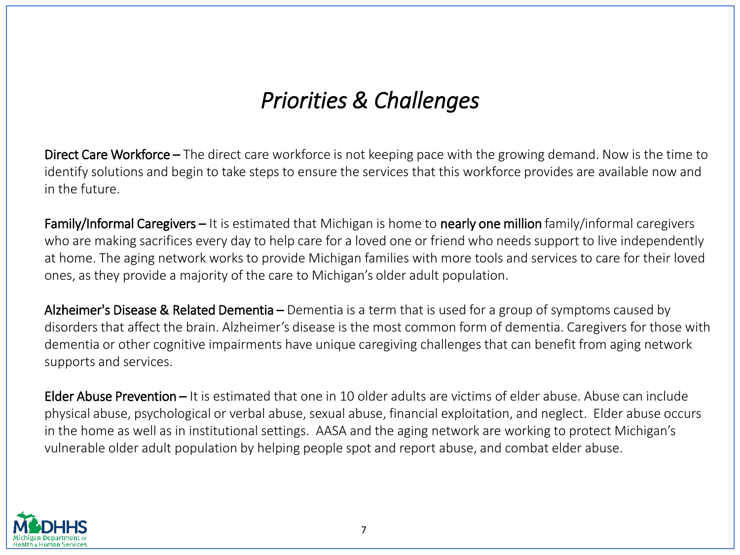### *Priorities & Challenges*

Direct Care Workforce – The direct care workforce is not keeping pace with the growing demand. Now is the time to identify solutions and begin to take steps to ensure the services that this workforce provides are available now and in the future.

Family/Informal Caregivers – It is estimated that Michigan is home to nearly one million family/informal caregivers who are making sacrifices every day to help care for a loved one or friend who needs support to live independently at home. The aging network works to provide Michigan families with more tools and services to care for their loved ones, as they provide a majority of the care to Michigan's older adult population.

Alzheimer's Disease & Related Dementia – Dementia is a term that is used for a group of symptoms caused by disorders that affect the brain. Alzheimer's disease is the most common form of dementia. Caregivers for those with dementia or other cognitive impairments have unique caregiving challenges that can benefit from aging network supports and services.

Elder Abuse Prevention – It is estimated that one in 10 older adults are victims of elder abuse. Abuse can include physical abuse, psychological or verbal abuse, sexual abuse, financial exploitation, and neglect. Elder abuse occurs in the home as well as in institutional settings. AASA and the aging network are working to protect Michigan's vulnerable older adult population by helping people spot and report abuse, and combat elder abuse.

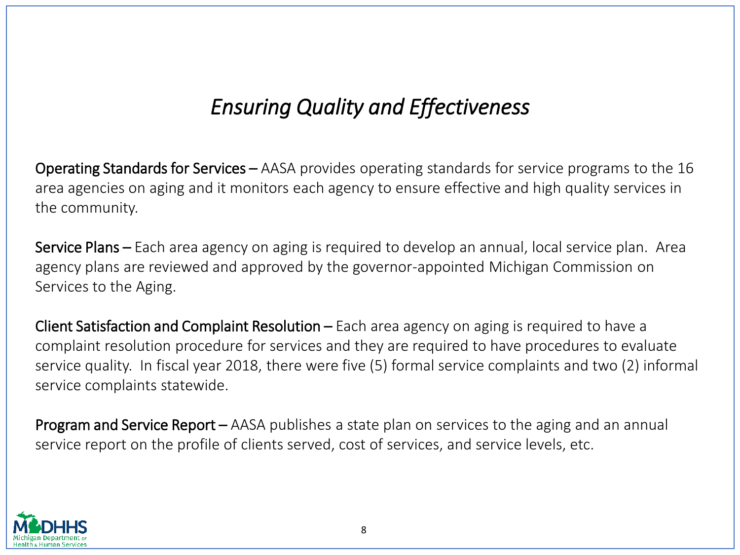### *Ensuring Quality and Effectiveness*

Operating Standards for Services – AASA provides operating standards for service programs to the 16 area agencies on aging and it monitors each agency to ensure effective and high quality services in the community.

Service Plans – Each area agency on aging is required to develop an annual, local service plan. Area agency plans are reviewed and approved by the governor-appointed Michigan Commission on Services to the Aging.

Client Satisfaction and Complaint Resolution – Each area agency on aging is required to have a complaint resolution procedure for services and they are required to have procedures to evaluate service quality. In fiscal year 2018, there were five (5) formal service complaints and two (2) informal service complaints statewide.

Program and Service Report – AASA publishes a state plan on services to the aging and an annual service report on the profile of clients served, cost of services, and service levels, etc.

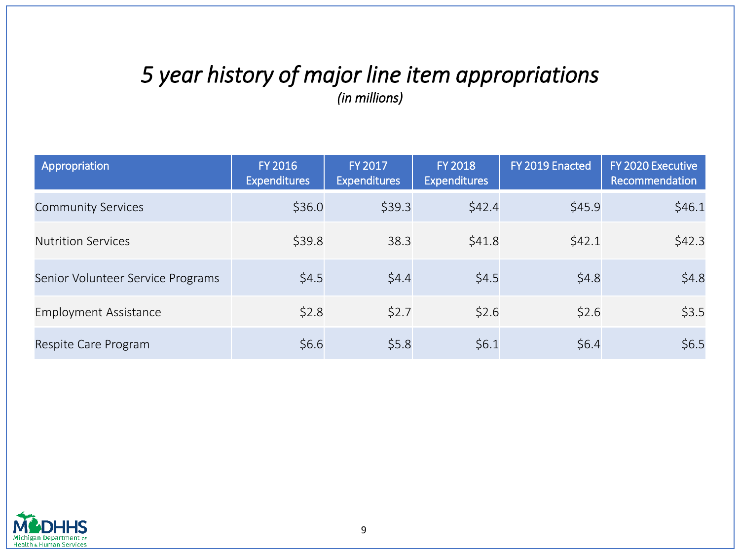### *5 year history of major line item appropriations (in millions)*

| Appropriation                     | <b>FY 2016</b><br><b>Expenditures</b> | FY 2017<br><b>Expenditures</b> | <b>FY 2018</b><br><b>Expenditures</b> | FY 2019 Enacted | FY 2020 Executive<br>Recommendation |
|-----------------------------------|---------------------------------------|--------------------------------|---------------------------------------|-----------------|-------------------------------------|
| <b>Community Services</b>         | \$36.0                                | \$39.3                         | \$42.4                                | \$45.9          | \$46.1                              |
| <b>Nutrition Services</b>         | \$39.8                                | 38.3                           | \$41.8                                | \$42.1          | \$42.3                              |
| Senior Volunteer Service Programs | \$4.5                                 | \$4.4                          | \$4.5                                 | \$4.8           | \$4.8                               |
| <b>Employment Assistance</b>      | \$2.8                                 | \$2.7                          | \$2.6                                 | \$2.6           | \$3.5                               |
| Respite Care Program              | \$6.6                                 | \$5.8                          | \$6.1                                 | \$6.4           | \$6.5                               |